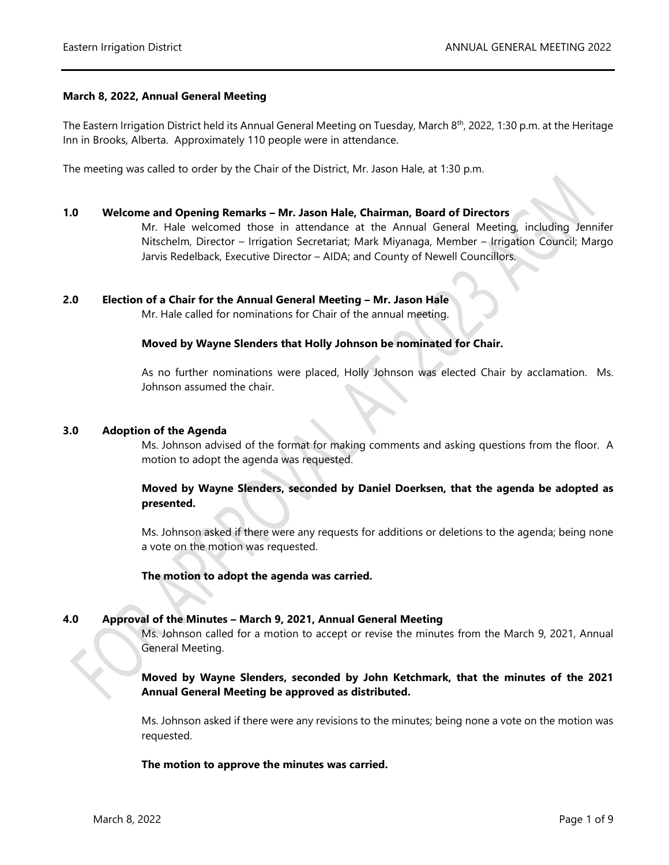#### **March 8, 2022, Annual General Meeting**

The Eastern Irrigation District held its Annual General Meeting on Tuesday, March 8<sup>th</sup>, 2022, 1:30 p.m. at the Heritage Inn in Brooks, Alberta. Approximately 110 people were in attendance.

The meeting was called to order by the Chair of the District, Mr. Jason Hale, at 1:30 p.m.

#### **1.0 Welcome and Opening Remarks – Mr. Jason Hale, Chairman, Board of Directors**

Mr. Hale welcomed those in attendance at the Annual General Meeting, including Jennifer Nitschelm, Director – Irrigation Secretariat; Mark Miyanaga, Member – Irrigation Council; Margo Jarvis Redelback, Executive Director – AIDA; and County of Newell Councillors.

#### **2.0 Election of a Chair for the Annual General Meeting – Mr. Jason Hale**

Mr. Hale called for nominations for Chair of the annual meeting.

#### **Moved by Wayne Slenders that Holly Johnson be nominated for Chair.**

As no further nominations were placed, Holly Johnson was elected Chair by acclamation. Ms. Johnson assumed the chair.

#### **3.0 Adoption of the Agenda**

Ms. Johnson advised of the format for making comments and asking questions from the floor. A motion to adopt the agenda was requested.

### **Moved by Wayne Slenders, seconded by Daniel Doerksen, that the agenda be adopted as presented.**

Ms. Johnson asked if there were any requests for additions or deletions to the agenda; being none a vote on the motion was requested.

**The motion to adopt the agenda was carried.**

#### **4.0 Approval of the Minutes – March 9, 2021, Annual General Meeting**

Ms. Johnson called for a motion to accept or revise the minutes from the March 9, 2021, Annual General Meeting.

#### **Moved by Wayne Slenders, seconded by John Ketchmark, that the minutes of the 2021 Annual General Meeting be approved as distributed.**

Ms. Johnson asked if there were any revisions to the minutes; being none a vote on the motion was requested.

#### **The motion to approve the minutes was carried.**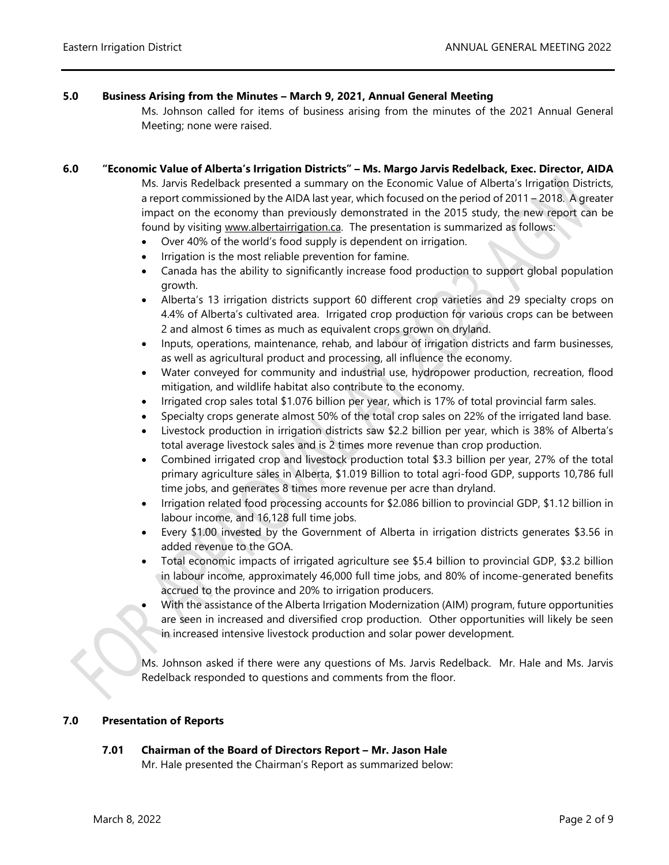## **5.0 Business Arising from the Minutes – March 9, 2021, Annual General Meeting**

Ms. Johnson called for items of business arising from the minutes of the 2021 Annual General Meeting; none were raised.

## **6.0 "Economic Value of Alberta's Irrigation Districts" – Ms. Margo Jarvis Redelback, Exec. Director, AIDA**

Ms. Jarvis Redelback presented a summary on the Economic Value of Alberta's Irrigation Districts, a report commissioned by the AIDA last year, which focused on the period of 2011 – 2018. A greater impact on the economy than previously demonstrated in the 2015 study, the new report can be found by visiting [www.albertairrigation.ca.](http://www.albertairrigation.ca/) The presentation is summarized as follows:

- Over 40% of the world's food supply is dependent on irrigation.
- Irrigation is the most reliable prevention for famine.
- Canada has the ability to significantly increase food production to support global population growth.
- Alberta's 13 irrigation districts support 60 different crop varieties and 29 specialty crops on 4.4% of Alberta's cultivated area. Irrigated crop production for various crops can be between 2 and almost 6 times as much as equivalent crops grown on dryland.
- Inputs, operations, maintenance, rehab, and labour of irrigation districts and farm businesses, as well as agricultural product and processing, all influence the economy.
- Water conveyed for community and industrial use, hydropower production, recreation, flood mitigation, and wildlife habitat also contribute to the economy.
- Irrigated crop sales total \$1.076 billion per year, which is 17% of total provincial farm sales.
- Specialty crops generate almost 50% of the total crop sales on 22% of the irrigated land base.
- Livestock production in irrigation districts saw \$2.2 billion per year, which is 38% of Alberta's total average livestock sales and is 2 times more revenue than crop production.
- Combined irrigated crop and livestock production total \$3.3 billion per year, 27% of the total primary agriculture sales in Alberta, \$1.019 Billion to total agri-food GDP, supports 10,786 full time jobs, and generates 8 times more revenue per acre than dryland.
- Irrigation related food processing accounts for \$2.086 billion to provincial GDP, \$1.12 billion in labour income, and 16,128 full time jobs.
- Every \$1.00 invested by the Government of Alberta in irrigation districts generates \$3.56 in added revenue to the GOA.
- Total economic impacts of irrigated agriculture see \$5.4 billion to provincial GDP, \$3.2 billion in labour income, approximately 46,000 full time jobs, and 80% of income-generated benefits accrued to the province and 20% to irrigation producers.
- With the assistance of the Alberta Irrigation Modernization (AIM) program, future opportunities are seen in increased and diversified crop production. Other opportunities will likely be seen in increased intensive livestock production and solar power development.

Ms. Johnson asked if there were any questions of Ms. Jarvis Redelback. Mr. Hale and Ms. Jarvis Redelback responded to questions and comments from the floor.

## **7.0 Presentation of Reports**

#### **7.01 Chairman of the Board of Directors Report – Mr. Jason Hale**

Mr. Hale presented the Chairman's Report as summarized below: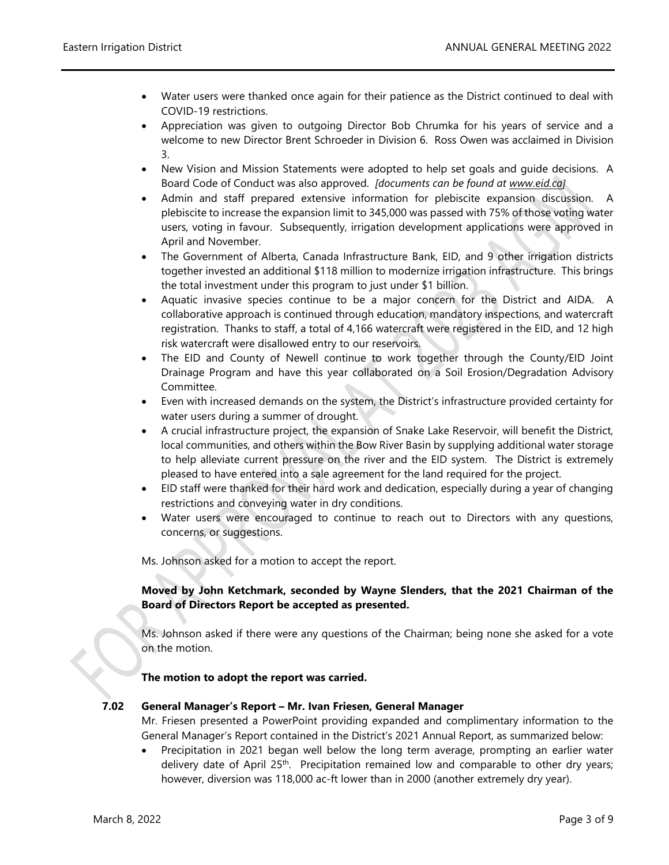- Water users were thanked once again for their patience as the District continued to deal with COVID-19 restrictions.
- Appreciation was given to outgoing Director Bob Chrumka for his years of service and a welcome to new Director Brent Schroeder in Division 6. Ross Owen was acclaimed in Division 3.
- New Vision and Mission Statements were adopted to help set goals and guide decisions. A Board Code of Conduct was also approved. *[documents can be found at [www.eid.ca\]](http://www.eid.ca/)*
- Admin and staff prepared extensive information for plebiscite expansion discussion. A plebiscite to increase the expansion limit to 345,000 was passed with 75% of those voting water users, voting in favour. Subsequently, irrigation development applications were approved in April and November.
- The Government of Alberta, Canada Infrastructure Bank, EID, and 9 other irrigation districts together invested an additional \$118 million to modernize irrigation infrastructure. This brings the total investment under this program to just under \$1 billion.
- Aquatic invasive species continue to be a major concern for the District and AIDA. A collaborative approach is continued through education, mandatory inspections, and watercraft registration. Thanks to staff, a total of 4,166 watercraft were registered in the EID, and 12 high risk watercraft were disallowed entry to our reservoirs.
- The EID and County of Newell continue to work together through the County/EID Joint Drainage Program and have this year collaborated on a Soil Erosion/Degradation Advisory Committee.
- Even with increased demands on the system, the District's infrastructure provided certainty for water users during a summer of drought.
- A crucial infrastructure project, the expansion of Snake Lake Reservoir, will benefit the District, local communities, and others within the Bow River Basin by supplying additional water storage to help alleviate current pressure on the river and the EID system. The District is extremely pleased to have entered into a sale agreement for the land required for the project.
- EID staff were thanked for their hard work and dedication, especially during a year of changing restrictions and conveying water in dry conditions.
- Water users were encouraged to continue to reach out to Directors with any questions, concerns, or suggestions.

Ms. Johnson asked for a motion to accept the report.

## **Moved by John Ketchmark, seconded by Wayne Slenders, that the 2021 Chairman of the Board of Directors Report be accepted as presented.**

Ms. Johnson asked if there were any questions of the Chairman; being none she asked for a vote on the motion.

#### **The motion to adopt the report was carried.**

#### **7.02 General Manager's Report – Mr. Ivan Friesen, General Manager**

Mr. Friesen presented a PowerPoint providing expanded and complimentary information to the General Manager's Report contained in the District's 2021 Annual Report, as summarized below:

Precipitation in 2021 began well below the long term average, prompting an earlier water delivery date of April 25<sup>th</sup>. Precipitation remained low and comparable to other dry years; however, diversion was 118,000 ac-ft lower than in 2000 (another extremely dry year).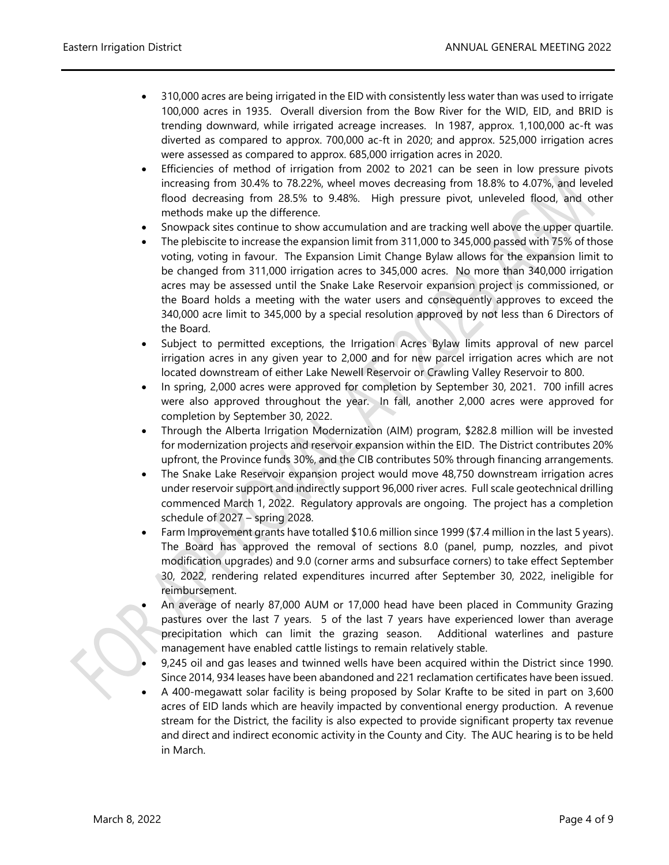- 310,000 acres are being irrigated in the EID with consistently less water than was used to irrigate 100,000 acres in 1935. Overall diversion from the Bow River for the WID, EID, and BRID is trending downward, while irrigated acreage increases. In 1987, approx. 1,100,000 ac-ft was diverted as compared to approx. 700,000 ac-ft in 2020; and approx. 525,000 irrigation acres were assessed as compared to approx. 685,000 irrigation acres in 2020.
- Efficiencies of method of irrigation from 2002 to 2021 can be seen in low pressure pivots increasing from 30.4% to 78.22%, wheel moves decreasing from 18.8% to 4.07%, and leveled flood decreasing from 28.5% to 9.48%. High pressure pivot, unleveled flood, and other methods make up the difference.
- Snowpack sites continue to show accumulation and are tracking well above the upper quartile.
- The plebiscite to increase the expansion limit from 311,000 to 345,000 passed with 75% of those voting, voting in favour. The Expansion Limit Change Bylaw allows for the expansion limit to be changed from 311,000 irrigation acres to 345,000 acres. No more than 340,000 irrigation acres may be assessed until the Snake Lake Reservoir expansion project is commissioned, or the Board holds a meeting with the water users and consequently approves to exceed the 340,000 acre limit to 345,000 by a special resolution approved by not less than 6 Directors of the Board.
- Subject to permitted exceptions, the Irrigation Acres Bylaw limits approval of new parcel irrigation acres in any given year to 2,000 and for new parcel irrigation acres which are not located downstream of either Lake Newell Reservoir or Crawling Valley Reservoir to 800.
- In spring, 2,000 acres were approved for completion by September 30, 2021. 700 infill acres were also approved throughout the year. In fall, another 2,000 acres were approved for completion by September 30, 2022.
- Through the Alberta Irrigation Modernization (AIM) program, \$282.8 million will be invested for modernization projects and reservoir expansion within the EID. The District contributes 20% upfront, the Province funds 30%, and the CIB contributes 50% through financing arrangements.
- The Snake Lake Reservoir expansion project would move 48,750 downstream irrigation acres under reservoir support and indirectly support 96,000 river acres. Full scale geotechnical drilling commenced March 1, 2022. Regulatory approvals are ongoing. The project has a completion schedule of 2027 – spring 2028.
- Farm Improvement grants have totalled \$10.6 million since 1999 (\$7.4 million in the last 5 years). The Board has approved the removal of sections 8.0 (panel, pump, nozzles, and pivot modification upgrades) and 9.0 (corner arms and subsurface corners) to take effect September 30, 2022, rendering related expenditures incurred after September 30, 2022, ineligible for reimbursement.
- An average of nearly 87,000 AUM or 17,000 head have been placed in Community Grazing pastures over the last 7 years. 5 of the last 7 years have experienced lower than average precipitation which can limit the grazing season. Additional waterlines and pasture management have enabled cattle listings to remain relatively stable.
- 9,245 oil and gas leases and twinned wells have been acquired within the District since 1990. Since 2014, 934 leases have been abandoned and 221 reclamation certificates have been issued.
- A 400-megawatt solar facility is being proposed by Solar Krafte to be sited in part on 3,600 acres of EID lands which are heavily impacted by conventional energy production. A revenue stream for the District, the facility is also expected to provide significant property tax revenue and direct and indirect economic activity in the County and City. The AUC hearing is to be held in March.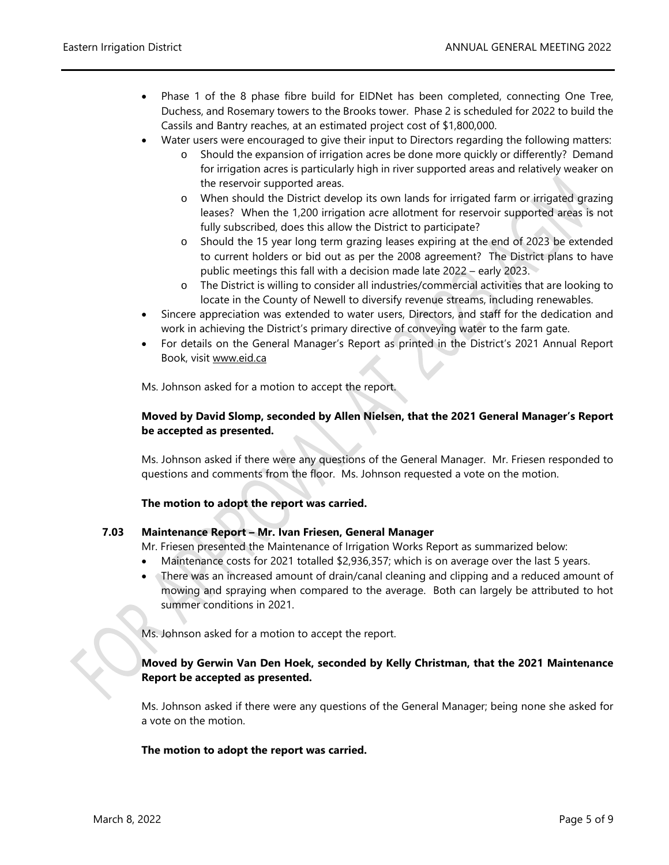- Phase 1 of the 8 phase fibre build for EIDNet has been completed, connecting One Tree, Duchess, and Rosemary towers to the Brooks tower. Phase 2 is scheduled for 2022 to build the Cassils and Bantry reaches, at an estimated project cost of \$1,800,000.
- Water users were encouraged to give their input to Directors regarding the following matters:
	- o Should the expansion of irrigation acres be done more quickly or differently? Demand for irrigation acres is particularly high in river supported areas and relatively weaker on the reservoir supported areas.
	- o When should the District develop its own lands for irrigated farm or irrigated grazing leases? When the 1,200 irrigation acre allotment for reservoir supported areas is not fully subscribed, does this allow the District to participate?
	- o Should the 15 year long term grazing leases expiring at the end of 2023 be extended to current holders or bid out as per the 2008 agreement? The District plans to have public meetings this fall with a decision made late 2022 – early 2023.
	- o The District is willing to consider all industries/commercial activities that are looking to locate in the County of Newell to diversify revenue streams, including renewables.
- Sincere appreciation was extended to water users, Directors, and staff for the dedication and work in achieving the District's primary directive of conveying water to the farm gate.
- For details on the General Manager's Report as printed in the District's 2021 Annual Report Book, visit [www.eid.ca](http://www.eid.ca/)

Ms. Johnson asked for a motion to accept the report.

## **Moved by David Slomp, seconded by Allen Nielsen, that the 2021 General Manager's Report be accepted as presented.**

Ms. Johnson asked if there were any questions of the General Manager. Mr. Friesen responded to questions and comments from the floor. Ms. Johnson requested a vote on the motion.

## **The motion to adopt the report was carried.**

#### **7.03 Maintenance Report – Mr. Ivan Friesen, General Manager**

Mr. Friesen presented the Maintenance of Irrigation Works Report as summarized below:

- Maintenance costs for 2021 totalled \$2,936,357; which is on average over the last 5 years.
- There was an increased amount of drain/canal cleaning and clipping and a reduced amount of mowing and spraying when compared to the average. Both can largely be attributed to hot summer conditions in 2021.

Ms. Johnson asked for a motion to accept the report.

## **Moved by Gerwin Van Den Hoek, seconded by Kelly Christman, that the 2021 Maintenance Report be accepted as presented.**

Ms. Johnson asked if there were any questions of the General Manager; being none she asked for a vote on the motion.

## **The motion to adopt the report was carried.**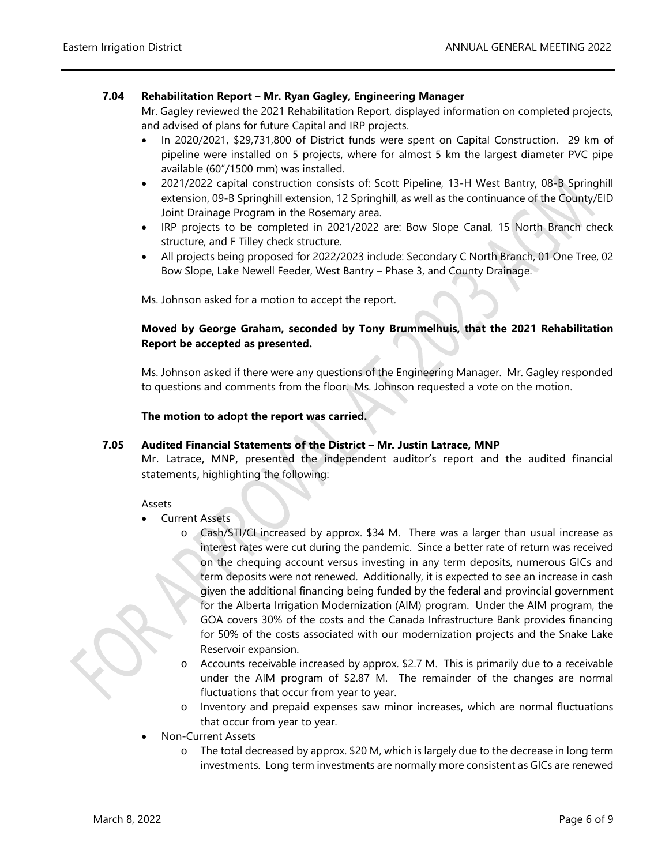## **7.04 Rehabilitation Report – Mr. Ryan Gagley, Engineering Manager**

Mr. Gagley reviewed the 2021 Rehabilitation Report, displayed information on completed projects, and advised of plans for future Capital and IRP projects.

- In 2020/2021, \$29,731,800 of District funds were spent on Capital Construction. 29 km of pipeline were installed on 5 projects, where for almost 5 km the largest diameter PVC pipe available (60"/1500 mm) was installed.
- 2021/2022 capital construction consists of: Scott Pipeline, 13-H West Bantry, 08-B Springhill extension, 09-B Springhill extension, 12 Springhill, as well as the continuance of the County/EID Joint Drainage Program in the Rosemary area.
- IRP projects to be completed in 2021/2022 are: Bow Slope Canal, 15 North Branch check structure, and F Tilley check structure.
- All projects being proposed for 2022/2023 include: Secondary C North Branch, 01 One Tree, 02 Bow Slope, Lake Newell Feeder, West Bantry – Phase 3, and County Drainage.

Ms. Johnson asked for a motion to accept the report.

## **Moved by George Graham, seconded by Tony Brummelhuis, that the 2021 Rehabilitation Report be accepted as presented.**

Ms. Johnson asked if there were any questions of the Engineering Manager. Mr. Gagley responded to questions and comments from the floor. Ms. Johnson requested a vote on the motion.

**The motion to adopt the report was carried.**

## **7.05 Audited Financial Statements of the District – Mr. Justin Latrace, MNP**

Mr. Latrace, MNP, presented the independent auditor's report and the audited financial statements, highlighting the following:

#### Assets

- **Current Assets** 
	- o Cash/STI/CI increased by approx. \$34 M. There was a larger than usual increase as interest rates were cut during the pandemic. Since a better rate of return was received on the chequing account versus investing in any term deposits, numerous GICs and term deposits were not renewed. Additionally, it is expected to see an increase in cash given the additional financing being funded by the federal and provincial government for the Alberta Irrigation Modernization (AIM) program. Under the AIM program, the GOA covers 30% of the costs and the Canada Infrastructure Bank provides financing for 50% of the costs associated with our modernization projects and the Snake Lake Reservoir expansion.
	- Accounts receivable increased by approx. \$2.7 M. This is primarily due to a receivable under the AIM program of \$2.87 M. The remainder of the changes are normal fluctuations that occur from year to year.
	- o Inventory and prepaid expenses saw minor increases, which are normal fluctuations that occur from year to year.
- Non-Current Assets
	- o The total decreased by approx. \$20 M, which is largely due to the decrease in long term investments. Long term investments are normally more consistent as GICs are renewed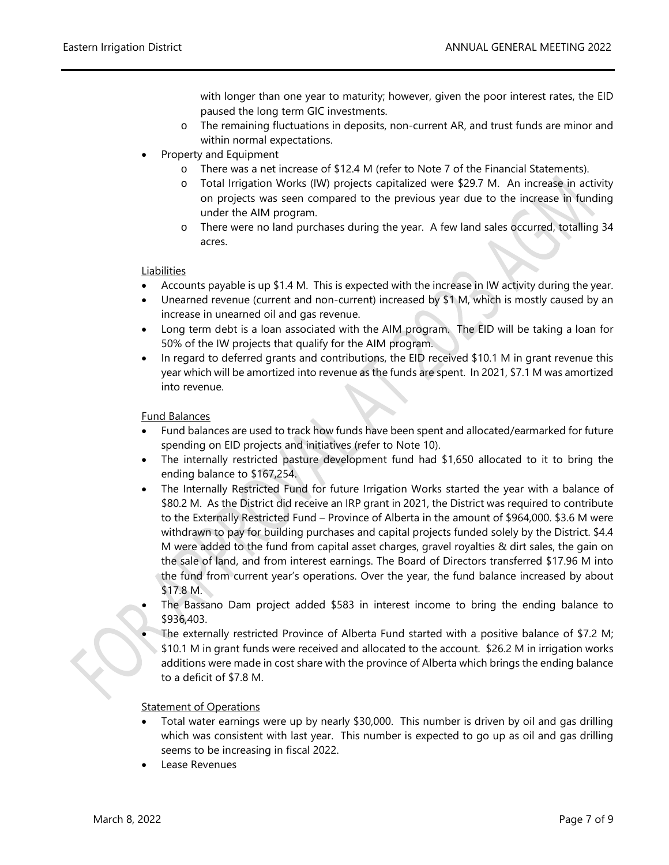with longer than one year to maturity; however, given the poor interest rates, the EID paused the long term GIC investments.

- o The remaining fluctuations in deposits, non-current AR, and trust funds are minor and within normal expectations.
- Property and Equipment
	- o There was a net increase of \$12.4 M (refer to Note 7 of the Financial Statements).
	- o Total Irrigation Works (IW) projects capitalized were \$29.7 M. An increase in activity on projects was seen compared to the previous year due to the increase in funding under the AIM program.
	- o There were no land purchases during the year. A few land sales occurred, totalling 34 acres.

#### Liabilities

- Accounts payable is up \$1.4 M. This is expected with the increase in IW activity during the year.
- Unearned revenue (current and non-current) increased by \$1 M, which is mostly caused by an increase in unearned oil and gas revenue.
- Long term debt is a loan associated with the AIM program. The EID will be taking a loan for 50% of the IW projects that qualify for the AIM program.
- In regard to deferred grants and contributions, the EID received \$10.1 M in grant revenue this year which will be amortized into revenue as the funds are spent. In 2021, \$7.1 M was amortized into revenue.

#### Fund Balances

- Fund balances are used to track how funds have been spent and allocated/earmarked for future spending on EID projects and initiatives (refer to Note 10).
- The internally restricted pasture development fund had \$1,650 allocated to it to bring the ending balance to \$167,254.
- The Internally Restricted Fund for future Irrigation Works started the year with a balance of \$80.2 M. As the District did receive an IRP grant in 2021, the District was required to contribute to the Externally Restricted Fund – Province of Alberta in the amount of \$964,000. \$3.6 M were withdrawn to pay for building purchases and capital projects funded solely by the District. \$4.4 M were added to the fund from capital asset charges, gravel royalties & dirt sales, the gain on the sale of land, and from interest earnings. The Board of Directors transferred \$17.96 M into the fund from current year's operations. Over the year, the fund balance increased by about \$17.8 M.
- The Bassano Dam project added \$583 in interest income to bring the ending balance to \$936,403.
- The externally restricted Province of Alberta Fund started with a positive balance of \$7.2 M; \$10.1 M in grant funds were received and allocated to the account. \$26.2 M in irrigation works additions were made in cost share with the province of Alberta which brings the ending balance to a deficit of \$7.8 M.

#### Statement of Operations

- Total water earnings were up by nearly \$30,000. This number is driven by oil and gas drilling which was consistent with last year. This number is expected to go up as oil and gas drilling seems to be increasing in fiscal 2022.
- Lease Revenues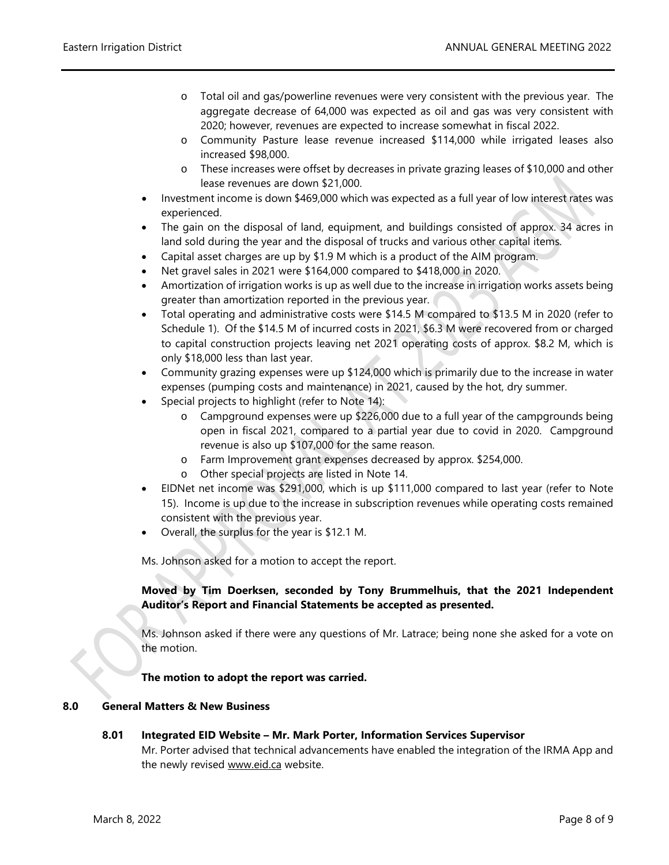- o Total oil and gas/powerline revenues were very consistent with the previous year. The aggregate decrease of 64,000 was expected as oil and gas was very consistent with 2020; however, revenues are expected to increase somewhat in fiscal 2022.
- o Community Pasture lease revenue increased \$114,000 while irrigated leases also increased \$98,000.
- o These increases were offset by decreases in private grazing leases of \$10,000 and other lease revenues are down \$21,000.
- Investment income is down \$469,000 which was expected as a full year of low interest rates was experienced.
- The gain on the disposal of land, equipment, and buildings consisted of approx. 34 acres in land sold during the year and the disposal of trucks and various other capital items.
- Capital asset charges are up by \$1.9 M which is a product of the AIM program.
- Net gravel sales in 2021 were \$164,000 compared to \$418,000 in 2020.
- Amortization of irrigation works is up as well due to the increase in irrigation works assets being greater than amortization reported in the previous year.
- Total operating and administrative costs were \$14.5 M compared to \$13.5 M in 2020 (refer to Schedule 1). Of the \$14.5 M of incurred costs in 2021, \$6.3 M were recovered from or charged to capital construction projects leaving net 2021 operating costs of approx. \$8.2 M, which is only \$18,000 less than last year.
- Community grazing expenses were up \$124,000 which is primarily due to the increase in water expenses (pumping costs and maintenance) in 2021, caused by the hot, dry summer.
- Special projects to highlight (refer to Note 14):
	- o Campground expenses were up \$226,000 due to a full year of the campgrounds being open in fiscal 2021, compared to a partial year due to covid in 2020. Campground revenue is also up \$107,000 for the same reason.
	- o Farm Improvement grant expenses decreased by approx. \$254,000.
	- o Other special projects are listed in Note 14.
- EIDNet net income was \$291,000, which is up \$111,000 compared to last year (refer to Note 15). Income is up due to the increase in subscription revenues while operating costs remained consistent with the previous year.
- Overall, the surplus for the year is \$12.1 M.

Ms. Johnson asked for a motion to accept the report.

## **Moved by Tim Doerksen, seconded by Tony Brummelhuis, that the 2021 Independent Auditor's Report and Financial Statements be accepted as presented.**

Ms. Johnson asked if there were any questions of Mr. Latrace; being none she asked for a vote on the motion.

**The motion to adopt the report was carried.**

#### **8.0 General Matters & New Business**

**8.01 Integrated EID Website – Mr. Mark Porter, Information Services Supervisor**

Mr. Porter advised that technical advancements have enabled the integration of the IRMA App and the newly revised [www.eid.ca](http://www.eid.ca/) website.